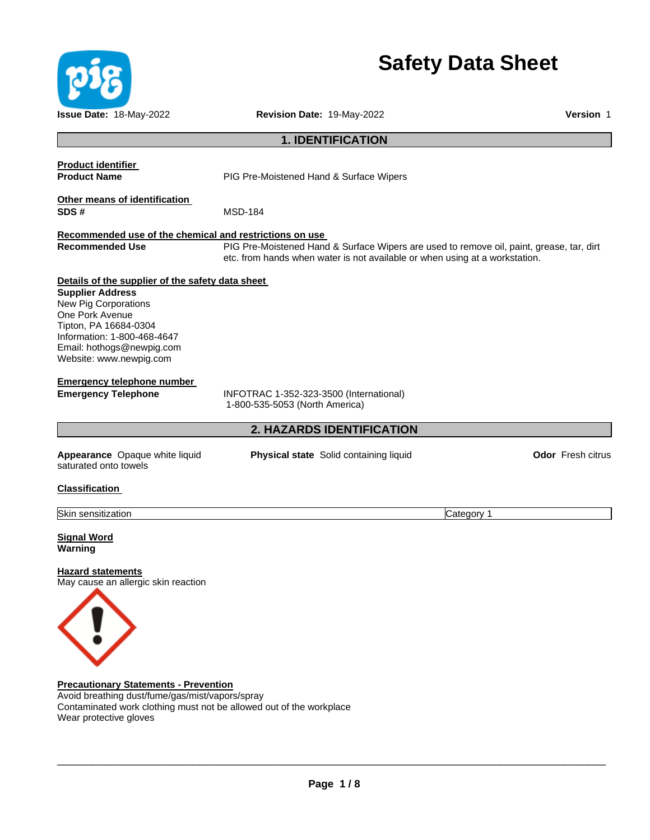

# **Safety Data Sheet**

**Issue Date:** 18-May-2022 **Revision Date:** 19-May-2022 **Version** 1 **1. IDENTIFICATION Product identifier Product Name** PIG Pre-Moistened Hand & Surface Wipers **Other means of identification SDS #** MSD-184 **Recommended use of the chemical and restrictions on use Recommended Use** PIG Pre-Moistened Hand & Surface Wipers are used to remove oil, paint, grease, tar, dirt etc. from hands when water is not available or when using at a workstation. **Details of the supplier of the safety data sheet Supplier Address** New Pig Corporations One Pork Avenue Tipton, PA 16684-0304 Information: 1-800-468-4647 Email: hothogs@newpig.com Website: www.newpig.com **Emergency telephone number Emergency Telephone** INFOTRAC 1-352-323-3500 (International) 1-800-535-5053 (North America) **2. HAZARDS IDENTIFICATION Appearance** Opaque white liquid saturated onto towels **Physical state** Solid containing liquid **CODE 1999 Odor** Fresh citrus **Classification**  Skin sensitization Category 1 **Signal Word Warning Hazard statements** May cause an allergic skin reaction



**Precautionary Statements - Prevention** Avoid breathing dust/fume/gas/mist/vapors/spray Contaminated work clothing must not be allowed out of the workplace Wear protective gloves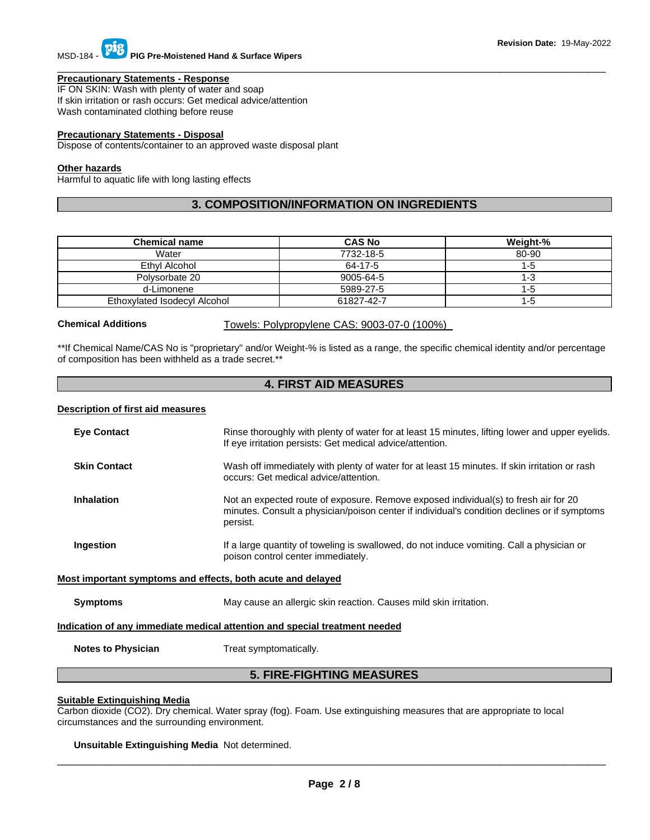# MSD-184 - **PIG Pre-Moistened Hand & Surface Wipers**

### **Precautionary Statements - Response**

IF ON SKIN: Wash with plenty of water and soap If skin irritation or rash occurs: Get medical advice/attention Wash contaminated clothing before reuse

### **Precautionary Statements - Disposal**

Dispose of contents/container to an approved waste disposal plant

### **Other hazards**

Harmful to aquatic life with long lasting effects

### **3. COMPOSITION/INFORMATION ON INGREDIENTS**

\_\_\_\_\_\_\_\_\_\_\_\_\_\_\_\_\_\_\_\_\_\_\_\_\_\_\_\_\_\_\_\_\_\_\_\_\_\_\_\_\_\_\_\_\_\_\_\_\_\_\_\_\_\_\_\_\_\_\_\_\_\_\_\_\_\_\_\_\_\_\_\_\_\_\_\_\_\_\_\_\_\_\_\_\_\_\_\_\_\_\_\_\_

| <b>Chemical name</b>         | <b>CAS No</b> | Weight-% |
|------------------------------|---------------|----------|
| Water                        | 7732-18-5     | 80-90    |
| Ethyl Alcohol                | 64-17-5       | $1-5$    |
| Polysorbate 20               | 9005-64-5     | 1-3      |
| d-Limonene                   | 5989-27-5     | 1-5      |
| Ethoxylated Isodecyl Alcohol | 61827-42-7    | 1-5      |

**Chemical Additions** Towels: Polypropylene CAS: 9003-07-0 (100%)

\*\*If Chemical Name/CAS No is "proprietary" and/or Weight-% is listed as a range, the specific chemical identity and/or percentage of composition has been withheld as a trade secret.\*\*

### **4. FIRST AID MEASURES**

### **Description of first aid measures**

| <b>Eye Contact</b>                                                         | Rinse thoroughly with plenty of water for at least 15 minutes, lifting lower and upper eyelids.<br>If eye irritation persists: Get medical advice/attention.                                    |  |  |
|----------------------------------------------------------------------------|-------------------------------------------------------------------------------------------------------------------------------------------------------------------------------------------------|--|--|
| <b>Skin Contact</b>                                                        | Wash off immediately with plenty of water for at least 15 minutes. If skin irritation or rash                                                                                                   |  |  |
|                                                                            | occurs: Get medical advice/attention.                                                                                                                                                           |  |  |
| <b>Inhalation</b>                                                          | Not an expected route of exposure. Remove exposed individual(s) to fresh air for 20<br>minutes. Consult a physician/poison center if individual's condition declines or if symptoms<br>persist. |  |  |
| Ingestion                                                                  | If a large quantity of toweling is swallowed, do not induce vomiting. Call a physician or<br>poison control center immediately.                                                                 |  |  |
| Most important symptoms and effects, both acute and delayed                |                                                                                                                                                                                                 |  |  |
| <b>Symptoms</b>                                                            | May cause an allergic skin reaction. Causes mild skin irritation.                                                                                                                               |  |  |
| Indication of any immediate medical attention and special treatment needed |                                                                                                                                                                                                 |  |  |
| <b>Notes to Physician</b>                                                  | Treat symptomatically.                                                                                                                                                                          |  |  |
| <b>5. FIRE-FIGHTING MEASURES</b>                                           |                                                                                                                                                                                                 |  |  |

### **Suitable Extinguishing Media**

Carbon dioxide (CO2). Dry chemical. Water spray (fog). Foam. Use extinguishing measures that are appropriate to local circumstances and the surrounding environment.

#### **Unsuitable Extinguishing Media** Not determined.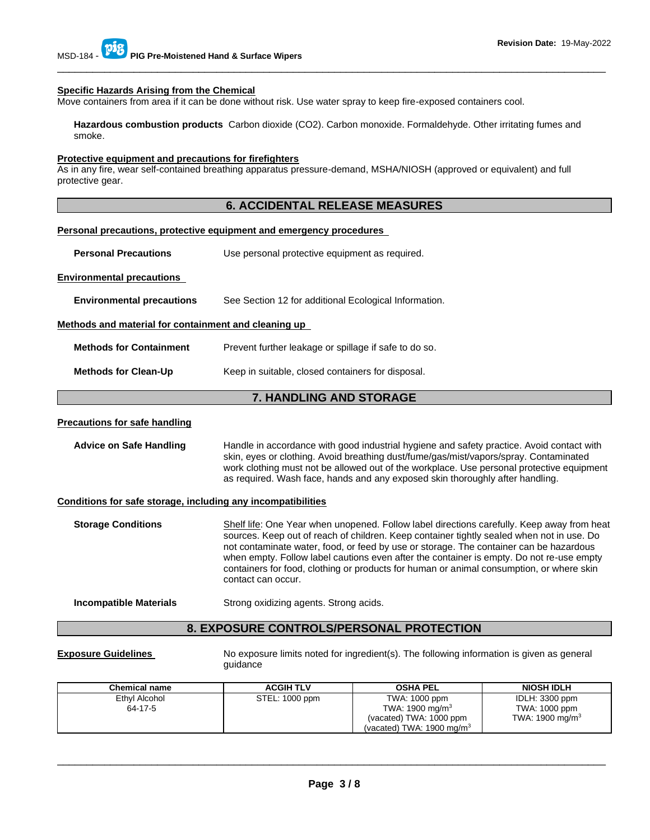#### **Specific Hazards Arising from the Chemical**

Move containers from area if it can be done without risk. Use water spray to keep fire-exposed containers cool.

**Hazardous combustion products** Carbon dioxide (CO2). Carbon monoxide. Formaldehyde. Other irritating fumes and smoke.

\_\_\_\_\_\_\_\_\_\_\_\_\_\_\_\_\_\_\_\_\_\_\_\_\_\_\_\_\_\_\_\_\_\_\_\_\_\_\_\_\_\_\_\_\_\_\_\_\_\_\_\_\_\_\_\_\_\_\_\_\_\_\_\_\_\_\_\_\_\_\_\_\_\_\_\_\_\_\_\_\_\_\_\_\_\_\_\_\_\_\_\_\_

#### **Protective equipment and precautions for firefighters**

As in any fire, wear self-contained breathing apparatus pressure-demand, MSHA/NIOSH (approved or equivalent) and full protective gear.

### **6. ACCIDENTAL RELEASE MEASURES**

### **Personal precautions, protective equipment and emergency procedures**

**Personal Precautions Use personal protective equipment as required.** 

#### **Environmental precautions**

**Environmental precautions** See Section 12 for additional Ecological Information.

#### **Methods and material for containment and cleaning up**

| <b>Methods for Containment</b> | Prevent further leakage or spillage if safe to do so. |
|--------------------------------|-------------------------------------------------------|
|                                |                                                       |

**Methods for Clean-Up Keep in suitable, closed containers for disposal.** 

### **7. HANDLING AND STORAGE**

### **Precautions for safe handling**

| <b>Advice on Safe Handling</b> | Handle in accordance with good industrial hygiene and safety practice. Avoid contact with<br>skin, eyes or clothing. Avoid breathing dust/fume/gas/mist/vapors/spray. Contaminated<br>work clothing must not be allowed out of the workplace. Use personal protective equipment<br>as required. Wash face, hands and any exposed skin thoroughly after handling. |
|--------------------------------|------------------------------------------------------------------------------------------------------------------------------------------------------------------------------------------------------------------------------------------------------------------------------------------------------------------------------------------------------------------|
|                                |                                                                                                                                                                                                                                                                                                                                                                  |

### **Conditions for safe storage, including any incompatibilities**

| <b>Storage Conditions</b> | Shelf life: One Year when unopened. Follow label directions carefully. Keep away from heat<br>sources. Keep out of reach of children. Keep container tightly sealed when not in use. Do<br>not contaminate water, food, or feed by use or storage. The container can be hazardous<br>when empty. Follow label cautions even after the container is empty. Do not re-use empty<br>containers for food, clothing or products for human or animal consumption, or where skin<br>contact can occur. |
|---------------------------|-------------------------------------------------------------------------------------------------------------------------------------------------------------------------------------------------------------------------------------------------------------------------------------------------------------------------------------------------------------------------------------------------------------------------------------------------------------------------------------------------|
|---------------------------|-------------------------------------------------------------------------------------------------------------------------------------------------------------------------------------------------------------------------------------------------------------------------------------------------------------------------------------------------------------------------------------------------------------------------------------------------------------------------------------------------|

#### **Incompatible Materials Strong oxidizing agents. Strong acids.**

#### **8. EXPOSURE CONTROLS/PERSONAL PROTECTION**

**Exposure Guidelines** No exposure limits noted for ingredient(s). The following information is given as general guidance

| Chemical name            | <b>ACGIH TLV</b> | <b>OSHA PEL</b>                                                 | <b>NIOSH IDLH</b>               |
|--------------------------|------------------|-----------------------------------------------------------------|---------------------------------|
| Ethyl Alcohol<br>64-17-5 | STEL: 1000 ppm   | TWA: 1000 ppm<br>TWA: 1900 mg/m $3$                             | IDLH: 3300 ppm<br>TWA: 1000 ppm |
|                          |                  | (vacated) TWA: 1000 ppm<br>(vacated) TWA: $1900 \text{ mg/m}^3$ | TWA: 1900 mg/m <sup>3</sup>     |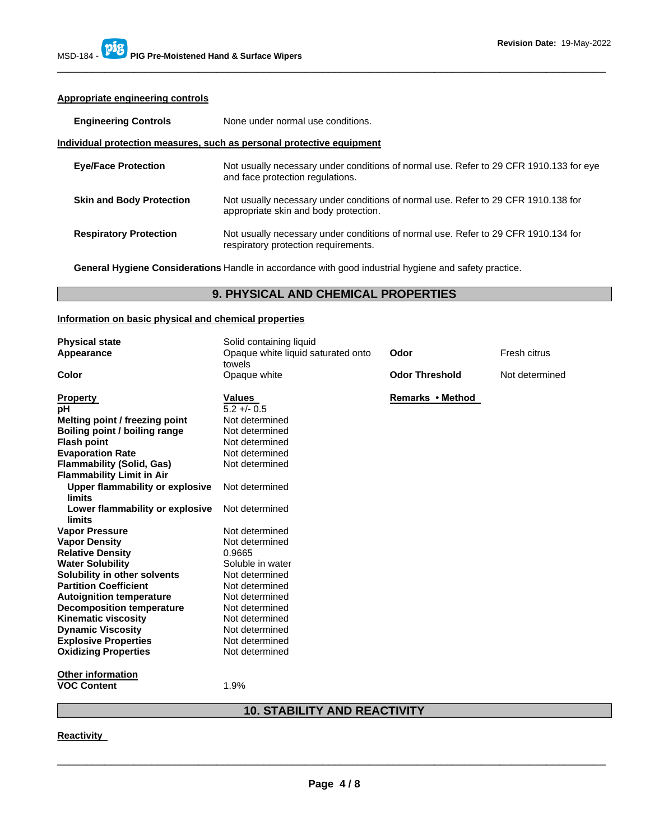### **Appropriate engineering controls**

| <b>Engineering Controls</b>     | None under normal use conditions.                                                                                           |
|---------------------------------|-----------------------------------------------------------------------------------------------------------------------------|
|                                 | Individual protection measures, such as personal protective equipment                                                       |
| <b>Eye/Face Protection</b>      | Not usually necessary under conditions of normal use. Refer to 29 CFR 1910.133 for eye<br>and face protection regulations.  |
| <b>Skin and Body Protection</b> | Not usually necessary under conditions of normal use. Refer to 29 CFR 1910.138 for<br>appropriate skin and body protection. |
| <b>Respiratory Protection</b>   | Not usually necessary under conditions of normal use. Refer to 29 CFR 1910.134 for<br>respiratory protection requirements.  |

**General Hygiene Considerations** Handle in accordance with good industrial hygiene and safety practice.

### **9. PHYSICAL AND CHEMICAL PROPERTIES**

### **Information on basic physical and chemical properties**

| <b>Physical state</b>                     | Solid containing liquid                      |                       |                |
|-------------------------------------------|----------------------------------------------|-----------------------|----------------|
| Appearance                                | Opaque white liquid saturated onto<br>towels | Odor                  | Fresh citrus   |
| Color                                     | Opaque white                                 | <b>Odor Threshold</b> | Not determined |
| <b>Property</b>                           | <b>Values</b>                                | Remarks • Method      |                |
| рH                                        | $5.2 + - 0.5$                                |                       |                |
| Melting point / freezing point            | Not determined                               |                       |                |
| Boiling point / boiling range             | Not determined                               |                       |                |
| <b>Flash point</b>                        | Not determined                               |                       |                |
| <b>Evaporation Rate</b>                   | Not determined                               |                       |                |
| <b>Flammability (Solid, Gas)</b>          | Not determined                               |                       |                |
| <b>Flammability Limit in Air</b>          |                                              |                       |                |
| Upper flammability or explosive           | Not determined                               |                       |                |
| limits                                    |                                              |                       |                |
| Lower flammability or explosive<br>limits | Not determined                               |                       |                |
|                                           | Not determined                               |                       |                |
| <b>Vapor Pressure</b>                     |                                              |                       |                |
| <b>Vapor Density</b>                      | Not determined                               |                       |                |
| <b>Relative Density</b>                   | 0.9665                                       |                       |                |
| <b>Water Solubility</b>                   | Soluble in water                             |                       |                |
| Solubility in other solvents              | Not determined                               |                       |                |
| <b>Partition Coefficient</b>              | Not determined                               |                       |                |
| <b>Autoignition temperature</b>           | Not determined                               |                       |                |
| <b>Decomposition temperature</b>          | Not determined                               |                       |                |
| <b>Kinematic viscosity</b>                | Not determined                               |                       |                |
| <b>Dynamic Viscosity</b>                  | Not determined                               |                       |                |
| <b>Explosive Properties</b>               | Not determined                               |                       |                |
| <b>Oxidizing Properties</b>               | Not determined                               |                       |                |
| <b>Other information</b>                  |                                              |                       |                |
| <b>VOC Content</b>                        | 1.9%                                         |                       |                |
|                                           |                                              |                       |                |

### **10. STABILITY AND REACTIVITY**

### **Reactivity**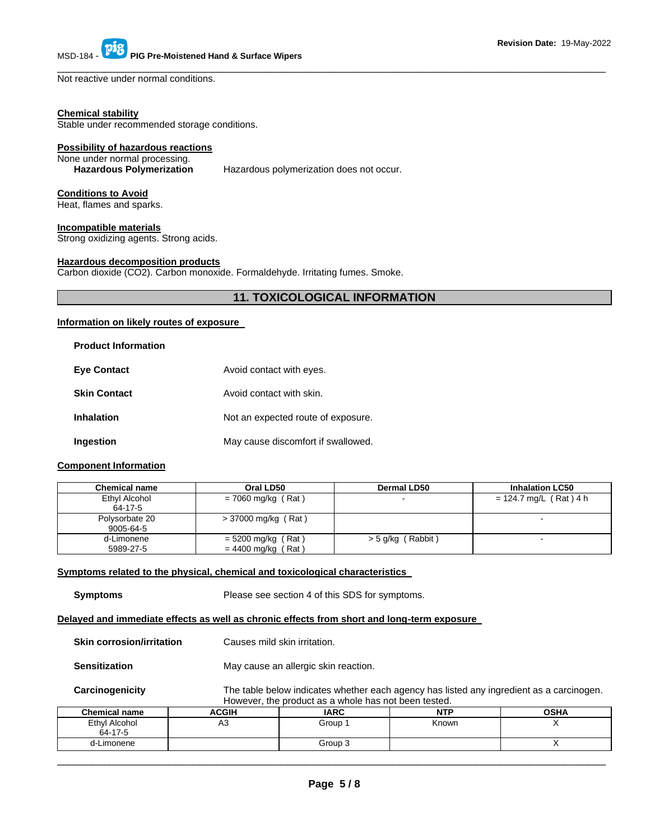Not reactive under normal conditions.

#### **Chemical stability**

Stable under recommended storage conditions.

### **Possibility of hazardous reactions**

# None under normal processing.<br>Hazardous Polymerization

Hazardous polymerization does not occur.

### **Conditions to Avoid**

Heat, flames and sparks.

### **Incompatible materials**

Strong oxidizing agents. Strong acids.

### **Hazardous decomposition products**

Carbon dioxide (CO2). Carbon monoxide. Formaldehyde. Irritating fumes. Smoke.

### **11. TOXICOLOGICAL INFORMATION**

\_\_\_\_\_\_\_\_\_\_\_\_\_\_\_\_\_\_\_\_\_\_\_\_\_\_\_\_\_\_\_\_\_\_\_\_\_\_\_\_\_\_\_\_\_\_\_\_\_\_\_\_\_\_\_\_\_\_\_\_\_\_\_\_\_\_\_\_\_\_\_\_\_\_\_\_\_\_\_\_\_\_\_\_\_\_\_\_\_\_\_\_\_

### **Information on likely routes of exposure**

### **Product Information**

| <b>Eye Contact</b>  | Avoid contact with eyes.           |
|---------------------|------------------------------------|
| <b>Skin Contact</b> | Avoid contact with skin.           |
| <b>Inhalation</b>   | Not an expected route of exposure. |
| Ingestion           | May cause discomfort if swallowed. |

### **Component Information**

| <b>Chemical name</b>        | Oral LD50                                     | Dermal LD50       | <b>Inhalation LC50</b>   |
|-----------------------------|-----------------------------------------------|-------------------|--------------------------|
| Ethyl Alcohol<br>64-17-5    | $= 7060$ mg/kg (Rat)                          |                   | $= 124.7$ mg/L (Rat) 4 h |
| Polysorbate 20<br>9005-64-5 | > 37000 mg/kg (Rat)                           |                   | -                        |
| d-Limonene<br>5989-27-5     | $= 5200$ mg/kg (Rat)<br>= 4400 mg/kg<br>(Rat) | > 5 g/kg (Rabbit) | $\sim$                   |

### **Symptoms related to the physical, chemical and toxicological characteristics**

| <b>Symptoms</b>                                                                            |                              | Please see section 4 of this SDS for symptoms.                                                                                                   |            |             |  |
|--------------------------------------------------------------------------------------------|------------------------------|--------------------------------------------------------------------------------------------------------------------------------------------------|------------|-------------|--|
| Delayed and immediate effects as well as chronic effects from short and long-term exposure |                              |                                                                                                                                                  |            |             |  |
| <b>Skin corrosion/irritation</b>                                                           | Causes mild skin irritation. |                                                                                                                                                  |            |             |  |
| <b>Sensitization</b>                                                                       |                              | May cause an allergic skin reaction.                                                                                                             |            |             |  |
| Carcinogenicity                                                                            |                              | The table below indicates whether each agency has listed any ingredient as a carcinogen.<br>However, the product as a whole has not been tested. |            |             |  |
| <b>Chemical name</b>                                                                       | <b>ACGIH</b>                 | <b>IARC</b>                                                                                                                                      | <b>NTP</b> | <b>OSHA</b> |  |
| Ethyl Alcohol<br>64-17-5                                                                   | A3                           | Group 1                                                                                                                                          | Known      | X           |  |
| d-Limonene                                                                                 |                              | Group 3                                                                                                                                          |            | X           |  |
|                                                                                            |                              |                                                                                                                                                  |            |             |  |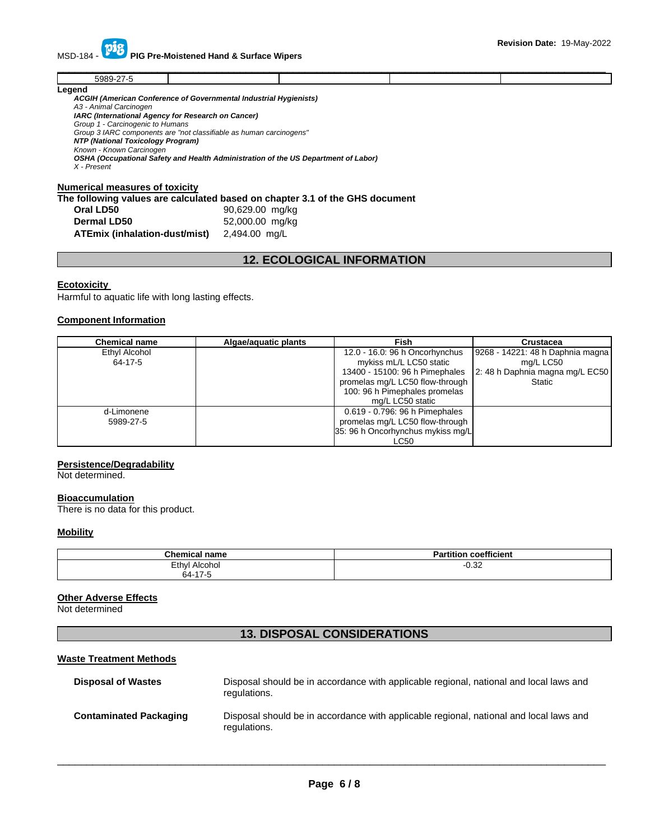MSD-184 - **PIG Pre-Moistened Hand & Surface Wipers** 

|        |  | ______ |
|--------|--|--------|
| $-0.0$ |  |        |
| Logand |  |        |

**Legend** 

*ACGIH (American Conference of Governmental Industrial Hygienists) A3 - Animal Carcinogen IARC (International Agency for Research on Cancer) Group 1 - Carcinogenic to Humans Group 3 IARC components are "not classifiable as human carcinogens" NTP (National Toxicology Program) Known - Known Carcinogen OSHA (Occupational Safety and Health Administration of the US Department of Labor) X - Present* 

### **Numerical measures of toxicity**

**The following values are calculated based on chapter 3.1 of the GHS document** 

| Oral LD50                     | 90,629.00 mg/kg |
|-------------------------------|-----------------|
| <b>Dermal LD50</b>            | 52,000.00 mg/kg |
| ATEmix (inhalation-dust/mist) | 2,494.00 mg/L   |

### **12. ECOLOGICAL INFORMATION**

### **Ecotoxicity**

Harmful to aquatic life with long lasting effects.

### **Component Information**

| <b>Chemical name</b> | Algae/aquatic plants | Fish                              | Crustacea                        |
|----------------------|----------------------|-----------------------------------|----------------------------------|
| Ethyl Alcohol        |                      | 12.0 - 16.0: 96 h Oncorhynchus    | 9268 - 14221: 48 h Daphnia magna |
| 64-17-5              |                      | mykiss mL/L LC50 static           | mg/L LC50                        |
|                      |                      | 13400 - 15100: 96 h Pimephales    | 2: 48 h Daphnia magna mg/L EC50  |
|                      |                      | promelas mg/L LC50 flow-through   | <b>Static</b>                    |
|                      |                      | 100: 96 h Pimephales promelas     |                                  |
|                      |                      | mg/L LC50 static                  |                                  |
| d-Limonene           |                      | 0.619 - 0.796: 96 h Pimephales    |                                  |
| 5989-27-5            |                      | promelas mg/L LC50 flow-through   |                                  |
|                      |                      | 35: 96 h Oncorhynchus mykiss mg/L |                                  |
|                      |                      | LC50                              |                                  |

### **Persistence/Degradability**

Not determined.

#### **Bioaccumulation**

There is no data for this product.

### **Mobility**

| <b>Chemical name</b> | $- - -$<br>.<br><b>Devil</b><br>coefficient<br>tition<br>. а н |
|----------------------|----------------------------------------------------------------|
| Ethyl Alcohol        | ററ<br>_⊿3.∪-                                                   |
| 47E<br>64-′<br>. .   |                                                                |

### **Other Adverse Effects**

Not determined

## **13. DISPOSAL CONSIDERATIONS**

### **Waste Treatment Methods**

| <b>Disposal of Wastes</b>     | Disposal should be in accordance with applicable regional, national and local laws and<br>regulations. |
|-------------------------------|--------------------------------------------------------------------------------------------------------|
| <b>Contaminated Packaging</b> | Disposal should be in accordance with applicable regional, national and local laws and<br>regulations. |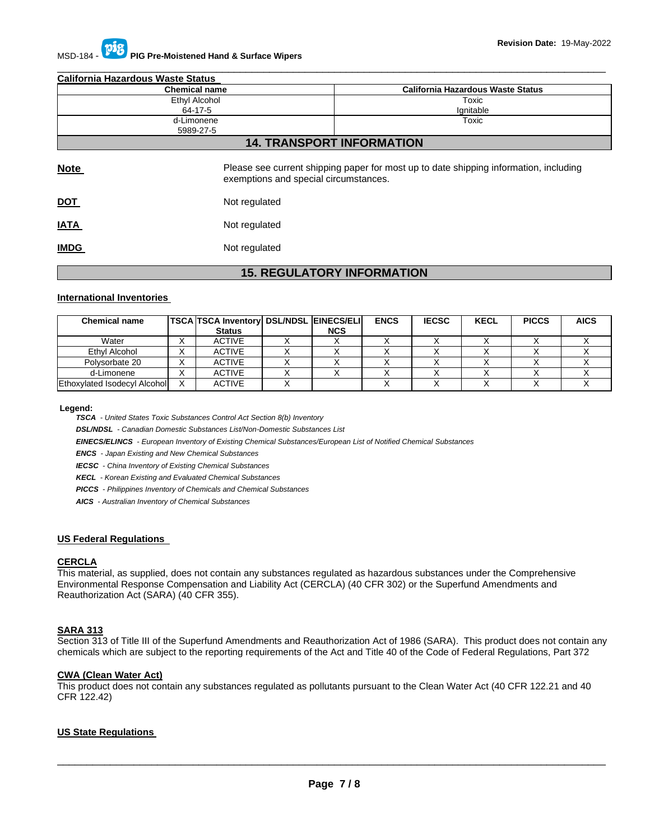| <b>California Hazardous Waste Status</b> |                                       |                                                                                       |  |  |
|------------------------------------------|---------------------------------------|---------------------------------------------------------------------------------------|--|--|
| <b>Chemical name</b>                     |                                       | <b>California Hazardous Waste Status</b>                                              |  |  |
| Ethyl Alcohol                            |                                       | Toxic                                                                                 |  |  |
|                                          | 64-17-5                               | Ignitable                                                                             |  |  |
|                                          | Toxic<br>d-Limonene<br>5989-27-5      |                                                                                       |  |  |
|                                          |                                       | <b>14. TRANSPORT INFORMATION</b>                                                      |  |  |
| <b>Note</b>                              | exemptions and special circumstances. | Please see current shipping paper for most up to date shipping information, including |  |  |
| <u>DOT</u>                               | Not regulated                         |                                                                                       |  |  |
| <u>IATA</u>                              | Not regulated                         |                                                                                       |  |  |
| <b>IMDG</b>                              | Not regulated                         |                                                                                       |  |  |
|                                          |                                       |                                                                                       |  |  |

\_\_\_\_\_\_\_\_\_\_\_\_\_\_\_\_\_\_\_\_\_\_\_\_\_\_\_\_\_\_\_\_\_\_\_\_\_\_\_\_\_\_\_\_\_\_\_\_\_\_\_\_\_\_\_\_\_\_\_\_\_\_\_\_\_\_\_\_\_\_\_\_\_\_\_\_\_\_\_\_\_\_\_\_\_\_\_\_\_\_\_\_\_

### **15. REGULATORY INFORMATION**

### **International Inventories**

| <b>Chemical name</b>         | <b>TSCA TSCA Inventory DSL/NDSL EINECS/ELI</b><br><b>Status</b> | <b>NCS</b> | <b>ENCS</b> | <b>IECSC</b> | <b>KECL</b> | <b>PICCS</b> | <b>AICS</b> |
|------------------------------|-----------------------------------------------------------------|------------|-------------|--------------|-------------|--------------|-------------|
| Water                        | ACTIVE                                                          |            |             |              |             |              |             |
| Ethyl Alcohol                | <b>ACTIVE</b>                                                   |            |             |              |             |              |             |
| Polysorbate 20               | <b>ACTIVE</b>                                                   |            |             |              |             |              |             |
| d-Limonene                   | <b>ACTIVE</b>                                                   |            |             |              |             |              |             |
| Ethoxylated Isodecyl Alcohol | <b>ACTIVE</b>                                                   |            |             |              |             |              |             |

#### **Legend:**

*TSCA - United States Toxic Substances Control Act Section 8(b) Inventory* 

*DSL/NDSL - Canadian Domestic Substances List/Non-Domestic Substances List* 

*EINECS/ELINCS - European Inventory of Existing Chemical Substances/European List of Notified Chemical Substances* 

*ENCS - Japan Existing and New Chemical Substances* 

*IECSC - China Inventory of Existing Chemical Substances* 

*KECL - Korean Existing and Evaluated Chemical Substances* 

*PICCS - Philippines Inventory of Chemicals and Chemical Substances* 

*AICS - Australian Inventory of Chemical Substances* 

### **US Federal Regulations**

### **CERCLA**

This material, as supplied, does not contain any substances regulated as hazardous substances under the Comprehensive Environmental Response Compensation and Liability Act (CERCLA) (40 CFR 302) or the Superfund Amendments and Reauthorization Act (SARA) (40 CFR 355).

### **SARA 313**

Section 313 of Title III of the Superfund Amendments and Reauthorization Act of 1986 (SARA). This product does not contain any chemicals which are subject to the reporting requirements of the Act and Title 40 of the Code of Federal Regulations, Part 372

### **CWA (Clean Water Act)**

This product does not contain any substances regulated as pollutants pursuant to the Clean Water Act (40 CFR 122.21 and 40 CFR 122.42)

### **US State Regulations**